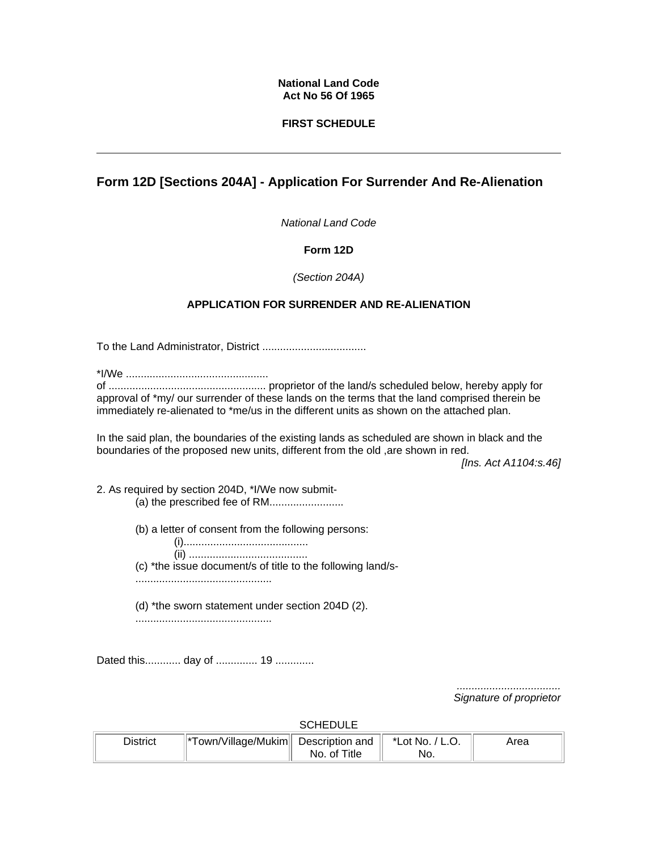#### **National Land Code Act No 56 Of 1965**

### **FIRST SCHEDULE**

# **Form 12D [Sections 204A] - Application For Surrender And Re-Alienation**

*National Land Code*

### **Form 12D**

### *(Section 204A)*

## **APPLICATION FOR SURRENDER AND RE-ALIENATION**

To the Land Administrator, District ...................................

\*I/We ................................................

of ..................................................... proprietor of the land/s scheduled below, hereby apply for approval of \*my/ our surrender of these lands on the terms that the land comprised therein be immediately re-alienated to \*me/us in the different units as shown on the attached plan.

In the said plan, the boundaries of the existing lands as scheduled are shown in black and the boundaries of the proposed new units, different from the old ,are shown in red.

*[Ins. Act A1104:s.46]*

2. As required by section 204D, \*I/We now submit-

- (a) the prescribed fee of RM..........................
- (b) a letter of consent from the following persons:
- (i).......................................... (ii) ........................................ (c) \*the issue document/s of title to the following land/s- ..............................................
- (d) \*the sworn statement under section 204D (2). ..............................................

Dated this............ day of ............... 19 ..............

*................................... Signature of proprietor* 

**SCHEDULE** 

| District | *Town/Village/Mukim   Description and | No. of Title | *Lot No. / L.O.<br>'NO. | '\rea |
|----------|---------------------------------------|--------------|-------------------------|-------|
|          |                                       |              |                         |       |